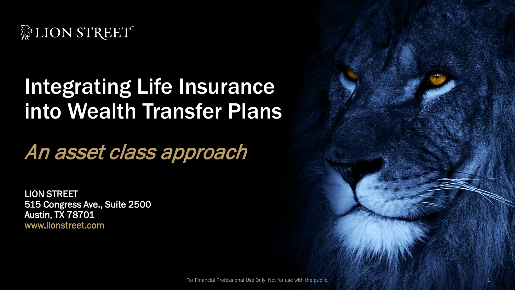

# Integrating Life Insurance into Wealth Transfer Plans

An asset class approach

LION STREET 515 Congress Ave., Suite 2500 Austin, TX 78701 www.lionstreet.com

For Financial Professional Use Only. Not for use with the public. 1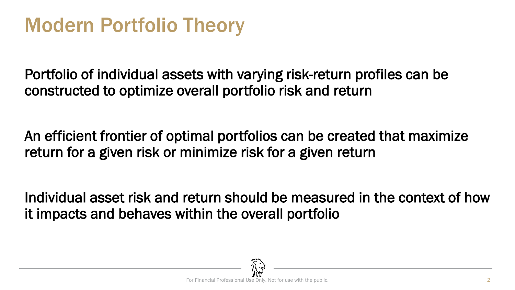### Modern Portfolio Theory

Portfolio of individual assets with varying risk-return profiles can be constructed to optimize overall portfolio risk and return

An efficient frontier of optimal portfolios can be created that maximize return for a given risk or minimize risk for a given return

Individual asset risk and return should be measured in the context of how it impacts and behaves within the overall portfolio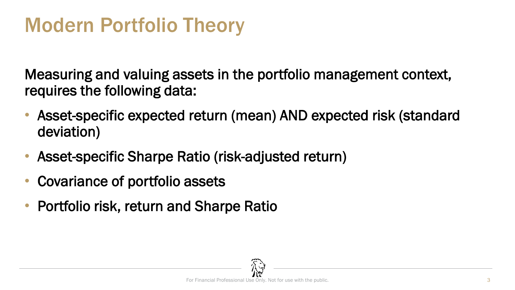# Modern Portfolio Theory

Measuring and valuing assets in the portfolio management context, requires the following data:

- Asset-specific expected return (mean) AND expected risk (standard deviation)
- Asset-specific Sharpe Ratio (risk-adjusted return)
- Covariance of portfolio assets
- Portfolio risk, return and Sharpe Ratio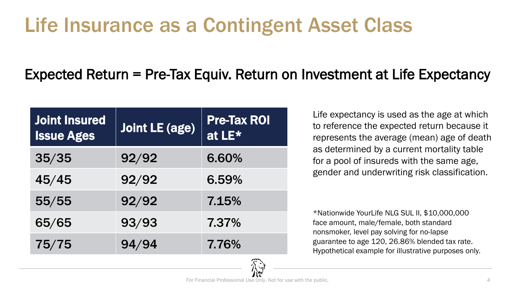# Life Insurance as a Contingent Asset Class

#### Expected Return = Pre-Tax Equiv. Return on Investment at Life Expectancy

| <b>Joint Insured</b><br><b>Issue Ages</b> | <b>Joint LE (age)</b> | <b>Pre-Tax ROI</b><br>at LE* |
|-------------------------------------------|-----------------------|------------------------------|
| 35/35                                     | 92/92                 | 6.60%                        |
| 45/45                                     | 92/92                 | 6.59%                        |
| 55/55                                     | 92/92                 | 7.15%                        |
| 65/65                                     | 93/93                 | 7.37%                        |
| 75/75                                     | 94/94                 | 7.76%                        |

Life expectancy is used as the age at which to reference the expected return because it represents the average (mean) age of death as determined by a current mortality table for a pool of insureds with the same age, gender and underwriting risk classification.

\*Nationwide YourLife NLG SUL II, \$10,000,000 face amount, male/female, both standard nonsmoker, level pay solving for no-lapse guarantee to age 120, 26.86% blended tax rate. Hypothetical example for illustrative purposes only.

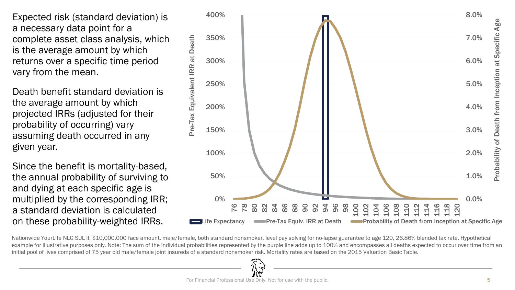Expected risk (standard deviation) is a necessary data point for a complete asset class analysis, which is the average amount by which returns over a specific time period vary from the mean.

Death benefit standard deviation is the average amount by which projected IRRs (adjusted for their probability of occurring) vary assuming death occurred in any given year.

Since the benefit is mortality-based, the annual probability of surviving to and dying at each specific age is multiplied by the corresponding IRR; a standard deviation is calculated on these probability-weighted IRRs.



Nationwide YourLife NLG SUL II, \$10,000,000 face amount, male/female, both standard nonsmoker, level pay solving for no-lapse guarantee to age 120, 26.86% blended tax rate. Hypothetical example for illustrative purposes only. Note: The sum of the individual probabilities represented by the purple line adds up to 100% and encompasses all deaths expected to occur over time from an initial pool of lives comprised of 75 year old male/female joint insureds of a standard nonsmoker risk. Mortality rates are based on the 2015 Valuation Basic Table.

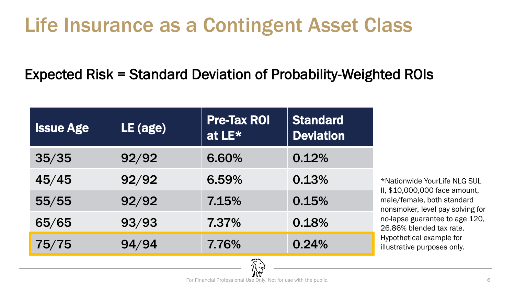# Life Insurance as a Contingent Asset Class

Expected Risk = Standard Deviation of Probability-Weighted ROIs

| <b>Issue Age</b> | LE (age) | <b>Pre-Tax ROI</b><br>at LE* | <b>Standard</b><br><b>Deviation</b> |
|------------------|----------|------------------------------|-------------------------------------|
| 35/35            | 92/92    | 6.60%                        | 0.12%                               |
| 45/45            | 92/92    | 6.59%                        | 0.13%                               |
| 55/55            | 92/92    | 7.15%                        | 0.15%                               |
| 65/65            | 93/93    | 7.37%                        | 0.18%                               |
| 75/75            | 94/94    | 7.76%                        | 0.24%                               |

\*Nationwide YourLife NLG SUL II, \$10,000,000 face amount, male/female, both standard nonsmoker, level pay solving for no-lapse guarantee to age 120, 26.86% blended tax rate. Hypothetical example for illustrative purposes only.

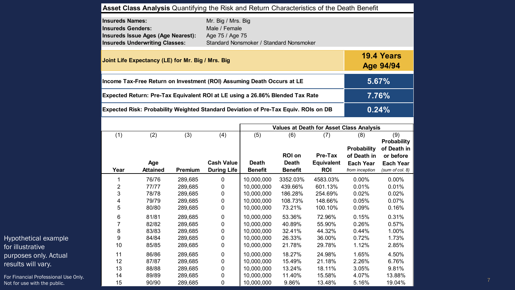|                                      |                                                                               |                                                                                    |                    | Asset Class Analysis Quantifying the Risk and Return Characteristics of the Death Benefit |                                         |                                |                                                 |                                    |                                                |  |
|--------------------------------------|-------------------------------------------------------------------------------|------------------------------------------------------------------------------------|--------------------|-------------------------------------------------------------------------------------------|-----------------------------------------|--------------------------------|-------------------------------------------------|------------------------------------|------------------------------------------------|--|
|                                      | <b>Insureds Names:</b><br><b>Insureds Genders:</b>                            | <b>Insureds Issue Ages (Age Nearest):</b><br><b>Insureds Underwriting Classes:</b> |                    | Mr. Big / Mrs. Big<br>Male / Female<br>Age 75 / Age 75                                    | Standard Nonsmoker / Standard Nonsmoker |                                |                                                 |                                    |                                                |  |
|                                      |                                                                               | Joint Life Expectancy (LE) for Mr. Big / Mrs. Big                                  |                    |                                                                                           |                                         |                                |                                                 |                                    | 19.4 Years<br><b>Age 94/94</b>                 |  |
|                                      |                                                                               |                                                                                    |                    | Income Tax-Free Return on Investment (ROI) Assuming Death Occurs at LE                    |                                         |                                |                                                 |                                    | 5.67%                                          |  |
|                                      | Expected Return: Pre-Tax Equivalent ROI at LE using a 26.86% Blended Tax Rate |                                                                                    |                    |                                                                                           |                                         |                                |                                                 |                                    | 7.76%                                          |  |
|                                      |                                                                               |                                                                                    |                    | Expected Risk: Probability Weighted Standard Deviation of Pre-Tax Equiv. ROIs on DB       |                                         |                                |                                                 |                                    | 0.24%                                          |  |
|                                      |                                                                               |                                                                                    |                    |                                                                                           |                                         |                                | <b>Values at Death for Asset Class Analysis</b> |                                    |                                                |  |
|                                      | (1)                                                                           | (2)                                                                                | (3)                | (4)                                                                                       | (5)                                     | (6)<br><b>ROI on</b>           | (7)<br>Pre-Tax                                  | (8)<br>Probability<br>of Death in  | (9)<br>Probability<br>of Death in<br>or before |  |
|                                      | Year                                                                          | Age<br><b>Attained</b>                                                             | <b>Premium</b>     | <b>Cash Value</b><br><b>During Life</b>                                                   | <b>Death</b><br><b>Benefit</b>          | <b>Death</b><br><b>Benefit</b> | <b>Equivalent</b><br><b>ROI</b>                 | <b>Each Year</b><br>from inception | <b>Each Year</b><br>(sum of col. 8)            |  |
|                                      |                                                                               | 76/76                                                                              | 289,685            | $\boldsymbol{0}$                                                                          | 10,000,000                              | 3352.03%                       | 4583.03%                                        | 0.00%                              | 0.00%                                          |  |
|                                      | $\overline{2}$<br>3                                                           | 77/77<br>78/78                                                                     | 289,685<br>289,685 | 0<br>0                                                                                    | 10,000,000<br>10,000,000                | 439.66%<br>186.28%             | 601.13%<br>254.69%                              | 0.01%<br>0.02%                     | 0.01%<br>0.02%                                 |  |
|                                      | 5                                                                             | 79/79<br>80/80                                                                     | 289,685<br>289,685 | 0<br>$\pmb{0}$                                                                            | 10,000,000<br>10,000,000                | 108.73%<br>73.21%              | 148.66%<br>100.10%                              | 0.05%<br>0.09%                     | 0.07%<br>0.16%                                 |  |
|                                      | 6                                                                             | 81/81                                                                              | 289,685            | $\pmb{0}$                                                                                 | 10,000,000                              | 53.36%                         | 72.96%                                          | 0.15%                              | 0.31%                                          |  |
|                                      |                                                                               | 82/82                                                                              | 289,685            | 0                                                                                         | 10,000,000                              | 40.89%                         | 55.90%                                          | 0.26%                              | 0.57%                                          |  |
|                                      | 8                                                                             | 83/83                                                                              | 289,685            | 0                                                                                         | 10,000,000                              | 32.41%                         | 44.32%                                          | 0.44%                              | 1.00%                                          |  |
| Hypothetical example                 | 9<br>10                                                                       | 84/84<br>85/85                                                                     | 289,685<br>289,685 | 0<br>$\pmb{0}$                                                                            | 10,000,000<br>10,000,000                | 26.33%<br>21.78%               | 36.00%<br>29.78%                                | 0.72%<br>1.12%                     | 1.73%<br>2.85%                                 |  |
| for illustrative                     |                                                                               | 86/86                                                                              | 289,685            |                                                                                           | 10,000,000                              | 18.27%                         | 24.98%                                          | 1.65%                              | 4.50%                                          |  |
| purposes only. Actual                | 11<br>12                                                                      | 87/87                                                                              | 289,685            | 0<br>0                                                                                    | 10,000,000                              | 15.49%                         | 21.18%                                          | 2.26%                              | 6.76%                                          |  |
| results will vary.                   | 13                                                                            | 88/88                                                                              | 289,685            | 0                                                                                         | 10,000,000                              | 13.24%                         | 18.11%                                          | 3.05%                              | 9.81%                                          |  |
| For Financial Professional Use Only. | 14                                                                            | 89/89                                                                              | 289,685            | 0                                                                                         | 10,000,000                              | 11.40%                         | 15.58%                                          | 4.07%                              | 13.88%                                         |  |
| Not for use with the public.         | 15                                                                            | 90/90                                                                              | 289,685            | 0                                                                                         | 10,000,000                              | 9.86%                          | 13.48%                                          | 5.16%                              | 19.04%                                         |  |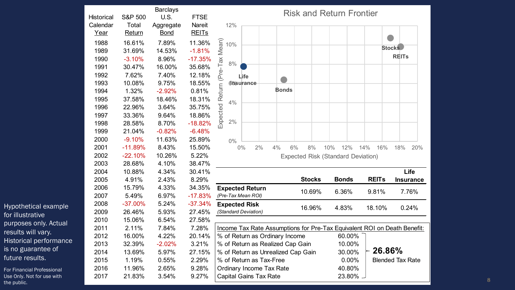| <b>Historical</b><br>Calendar | <b>S&amp;P 500</b><br>Total | <b>Barclays</b><br>U.S.<br>Aggregate | <b>FTSE</b><br>Nareit | 12%                                   |            |          |              | <b>Risk and Return Frontier</b>                                          |     |              |     |              |                         |                  |
|-------------------------------|-----------------------------|--------------------------------------|-----------------------|---------------------------------------|------------|----------|--------------|--------------------------------------------------------------------------|-----|--------------|-----|--------------|-------------------------|------------------|
| Year                          | Return                      | <b>Bond</b>                          | <b>REITs</b>          |                                       |            |          |              |                                                                          |     |              |     |              |                         |                  |
| 1988                          | 16.61%                      | 7.89%                                | 11.36%                | Expected Return (Pre-Tax Mean)<br>10% |            |          |              |                                                                          |     |              |     |              |                         |                  |
| 1989                          | 31.69%                      | 14.53%                               | $-1.81%$              |                                       |            |          |              |                                                                          |     |              |     |              | <b>Stocks</b>           |                  |
| 1990                          | $-3.10%$                    | 8.96%                                | $-17.35%$             | 8%                                    |            |          |              |                                                                          |     |              |     |              | <b>REITS</b>            |                  |
| 1991                          | 30.47%                      | 16.00%                               | 35.68%                |                                       |            |          |              |                                                                          |     |              |     |              |                         |                  |
| 1992                          | 7.62%                       | 7.40%                                | 12.18%                |                                       | Life       |          |              |                                                                          |     |              |     |              |                         |                  |
| 1993                          | 10.08%                      | 9.75%                                | 18.55%                |                                       | dhisurance |          |              |                                                                          |     |              |     |              |                         |                  |
| 1994                          | 1.32%                       | $-2.92%$                             | 0.81%                 |                                       |            |          | <b>Bonds</b> |                                                                          |     |              |     |              |                         |                  |
| 1995                          | 37.58%                      | 18.46%                               | 18.31%                | 4%                                    |            |          |              |                                                                          |     |              |     |              |                         |                  |
| 1996                          | 22.96%                      | 3.64%                                | 35.75%                |                                       |            |          |              |                                                                          |     |              |     |              |                         |                  |
| 1997                          | 33.36%                      | 9.64%                                | 18.86%                |                                       |            |          |              |                                                                          |     |              |     |              |                         |                  |
| 1998                          | 28.58%                      | 8.70%                                | $-18.82%$             | 2%                                    |            |          |              |                                                                          |     |              |     |              |                         |                  |
| 1999                          | 21.04%                      | $-0.82%$                             | $-6.48%$              |                                       |            |          |              |                                                                          |     |              |     |              |                         |                  |
| 2000                          | $-9.10%$                    | 11.63%                               | 25.89%                | $0\%$                                 |            |          |              |                                                                          |     |              |     |              |                         |                  |
| 2001                          | $-11.89%$                   | 8.43%                                | 15.50%                |                                       | $0\%$      | 2%<br>4% | 6%           | 8%                                                                       | 10% | 12%          | 14% | 16%          | 18%                     | 20%              |
| 2002                          | $-22.10%$                   | 10.26%                               | 5.22%                 |                                       |            |          |              | <b>Expected Risk (Standard Deviation)</b>                                |     |              |     |              |                         |                  |
| 2003                          | 28.68%                      | 4.10%                                | 38.47%                |                                       |            |          |              |                                                                          |     |              |     |              |                         |                  |
| 2004                          | 10.88%                      | 4.34%                                | 30.41%                |                                       |            |          |              |                                                                          |     |              |     |              |                         | Life             |
| 2005                          | 4.91%                       | 2.43%                                | 8.29%                 |                                       |            |          |              | <b>Stocks</b>                                                            |     | <b>Bonds</b> |     | <b>REITs</b> |                         | <b>Insurance</b> |
| 2006                          | 15.79%                      | 4.33%                                | 34.35%                | <b>Expected Return</b>                |            |          |              | 10.69%                                                                   |     | 6.36%        |     | 9.81%        |                         | 7.76%            |
| 2007                          | 5.49%                       | 6.97%                                | $-17.83%$             | (Pre-Tax Mean ROI)                    |            |          |              |                                                                          |     |              |     |              |                         |                  |
| 2008                          | $-37.00%$                   | 5.24%                                | $-37.34%$             | <b>Expected Risk</b>                  |            |          |              | 16.96%                                                                   |     | 4.83%        |     | 18.10%       |                         | 0.24%            |
| 2009                          | 26.46%                      | 5.93%                                | 27.45%                | (Standard Deviation)                  |            |          |              |                                                                          |     |              |     |              |                         |                  |
| 2010                          | 15.06%                      | 6.54%                                | 27.58%                |                                       |            |          |              |                                                                          |     |              |     |              |                         |                  |
| 2011                          | 2.11%                       | 7.84%                                | 7.28%                 |                                       |            |          |              | Income Tax Rate Assumptions for Pre-Tax Equivalent ROI on Death Benefit: |     |              |     |              |                         |                  |
| 2012                          | 16.00%                      | 4.22%                                | 20.14%                | % of Return as Ordinary Income        |            |          |              |                                                                          |     | 60.00%       |     |              |                         |                  |
| 2013                          | 32.39%                      | $-2.02%$                             | 3.21%                 | % of Return as Realized Cap Gain      |            |          |              |                                                                          |     | 10.00%       |     |              |                         |                  |
| 2014                          | 13.69%                      | 5.97%                                | 27.15%                | % of Return as Unrealized Cap Gain    |            |          |              |                                                                          |     | 30.00%       |     | 26.86%       |                         |                  |
| 2015                          | 1.19%                       | 0.55%                                | 2.29%                 | % of Return as Tax-Free               |            |          |              |                                                                          |     | 0.00%        |     |              | <b>Blended Tax Rate</b> |                  |
| 2016                          | 11.96%                      | 2.65%                                | 9.28%                 | Ordinary Income Tax Rate              |            |          |              |                                                                          |     | 40.80%       |     |              |                         |                  |
| 2017                          | 21.83%                      | 3.54%                                | 9.27%                 | <b>Capital Gains Tax Rate</b>         |            |          |              |                                                                          |     | 23.80% -     |     |              |                         |                  |

Hypothetical example for illustrative purposes only. Actual results will vary. Historical performance is no guarantee of future results.

For Financial Professional Use Only. Not for use with the public.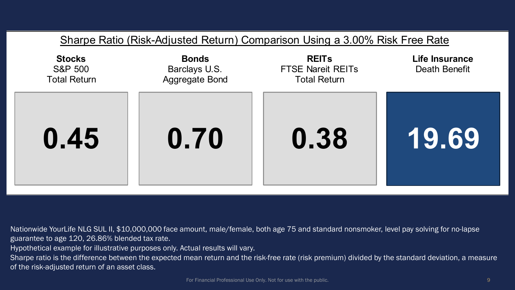

Nationwide YourLife NLG SUL II, \$10,000,000 face amount, male/female, both age 75 and standard nonsmoker, level pay solving for no-lapse guarantee to age 120, 26.86% blended tax rate.

Hypothetical example for illustrative purposes only. Actual results will vary.

Sharpe ratio is the difference between the expected mean return and the risk-free rate (risk premium) divided by the standard deviation, a measure of the risk-adjusted return of an asset class.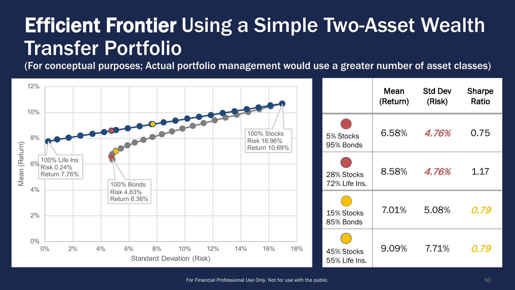### Efficient Frontier Using a Simple Two-Asset Wealth Transfer Portfolio

(For conceptual purposes; Actual portfolio management would use a greater number of asset classes)

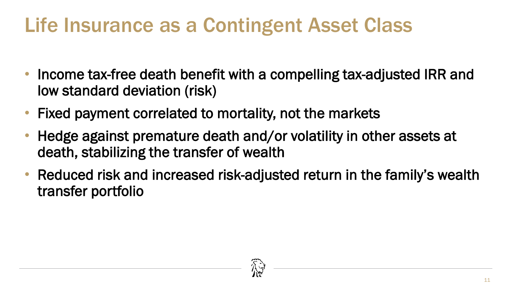# Life Insurance as a Contingent Asset Class

- Income tax-free death benefit with a compelling tax-adjusted IRR and low standard deviation (risk)
- Fixed payment correlated to mortality, not the markets
- Hedge against premature death and/or volatility in other assets at death, stabilizing the transfer of wealth
- Reduced risk and increased risk-adjusted return in the family's wealth transfer portfolio

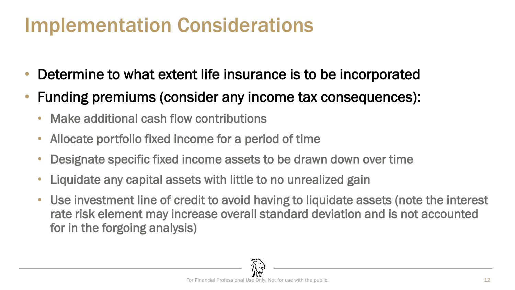### Implementation Considerations

- Determine to what extent life insurance is to be incorporated
- Funding premiums (consider any income tax consequences):
	- Make additional cash flow contributions
	- Allocate portfolio fixed income for a period of time
	- Designate specific fixed income assets to be drawn down over time
	- Liquidate any capital assets with little to no unrealized gain
	- Use investment line of credit to avoid having to liquidate assets (note the interest rate risk element may increase overall standard deviation and is not accounted for in the forgoing analysis)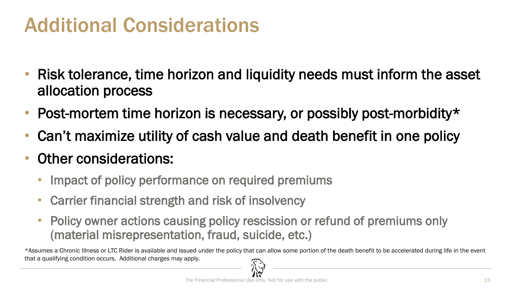#### Additional Considerations

- Risk tolerance, time horizon and liquidity needs must inform the asset allocation process
- Post-mortem time horizon is necessary, or possibly post-morbidity\*
- Can't maximize utility of cash value and death benefit in one policy
- Other considerations:
	- Impact of policy performance on required premiums
	- Carrier financial strength and risk of insolvency
	- Policy owner actions causing policy rescission or refund of premiums only (material misrepresentation, fraud, suicide, etc.)

\*Assumes a Chronic Illness or LTC Rider is available and issued under the policy that can allow some portion of the death benefit to be accelerated during life in the event that a qualifying condition occurs. Additional charges may apply.